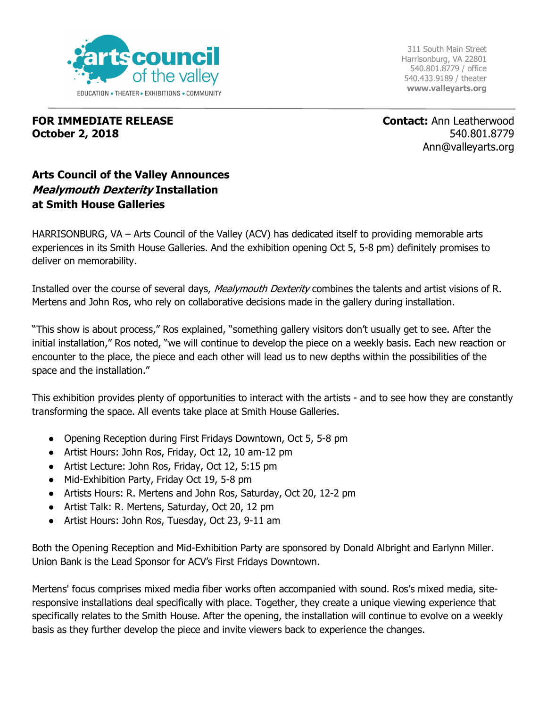

311 South Main Street Harrisonburg, VA 22801 540.801.8779 / office 540.433.9189 / theater **www.valleyarts.org**

## **FOR IMMEDIATE RELEASE October 2, 2018**

**Contact:** Ann Leatherwood 540.801.8779 Ann@valleyarts.org

## **Arts Council of the Valley Announces Mealymouth Dexterity Installation at Smith House Galleries**

HARRISONBURG, VA - Arts Council of the Valley (ACV) has dedicated itself to providing memorable arts experiences in its Smith House Galleries. And the exhibition opening Oct 5, 5-8 pm) definitely promises to deliver on memorability.

Installed over the course of several days, *Mealymouth Dexterity* combines the talents and artist visions of R. Mertens and John Ros, who rely on collaborative decisions made in the gallery during installation.

"This show is about process," Ros explained, "something gallery visitors don't usually get to see. After the initial installation," Ros noted, "we will continue to develop the piece on a weekly basis. Each new reaction or encounter to the place, the piece and each other will lead us to new depths within the possibilities of the space and the installation."

This exhibition provides plenty of opportunities to interact with the artists - and to see how they are constantly transforming the space. All events take place at Smith House Galleries.

- Opening Reception during First Fridays Downtown, Oct 5, 5-8 pm
- Artist Hours: John Ros, Friday, Oct 12, 10 am-12 pm
- Artist Lecture: John Ros, Friday, Oct 12, 5:15 pm
- Mid-Exhibition Party, Friday Oct 19, 5-8 pm
- Artists Hours: R. Mertens and John Ros, Saturday, Oct 20, 12-2 pm
- Artist Talk: R. Mertens, Saturday, Oct 20, 12 pm
- Artist Hours: John Ros, Tuesday, Oct 23, 9-11 am

Both the Opening Reception and Mid-Exhibition Party are sponsored by Donald Albright and Earlynn Miller. Union Bank is the Lead Sponsor for ACV's First Fridays Downtown.

Mertens' focus comprises mixed media fiber works often accompanied with sound. Ros's mixed media, siteresponsive installations deal specifically with place. Together, they create a unique viewing experience that specifically relates to the Smith House. After the opening, the installation will continue to evolve on a weekly basis as they further develop the piece and invite viewers back to experience the changes.